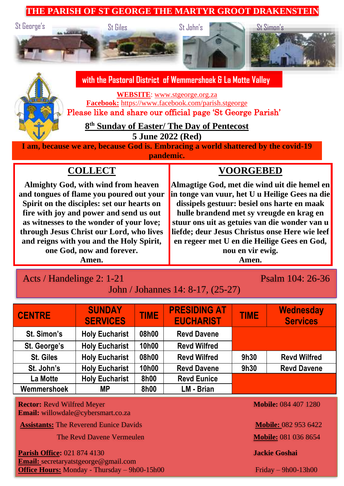#### **THE PARISH OF ST GEORGE THE MARTYR GROOT DRAKENSTEIN**



# **with the Pastoral District of Wemmershoek & La Motte Valley**

**WEBSITE**: [www.stgeorge.org.za](http://www.stgeorge.org.za/) **Facebook:** <https://www.facebook.com/parish.stgeorge>

Please like and share our official page 'St George Parish'

**8 th Sunday of Easter/ The Day of Pentecost**

**5 June 2022 (Red)**

**I am, because we are, because God is. Embracing a world shattered by the covid-19 pandemic.**

# **COLLECT**

**Almighty God, with wind from heaven and tongues of flame you poured out your Spirit on the disciples: set our hearts on fire with joy and power and send us out as witnesses to the wonder of your love; through Jesus Christ our Lord, who lives and reigns with you and the Holy Spirit, one God, now and forever.** 

#### **Amen.**

# **Almagtige God, met die wind uit die hemel en**

**VOORGEBED**

**in tonge van vuur, het U u Heilige Gees na die dissipels gestuur: besiel ons harte en maak hulle brandend met sy vreugde en krag en stuur ons uit as getuies van die wonder van u liefde; deur Jesus Christus onse Here wie leef en regeer met U en die Heilige Gees en God, nou en vir ewig.** 

**Amen.**

# Acts / Handelinge 2: 1-21 Psalm 104: 26-36

| John / Johannes 14: 8-17, (25-27) |
|-----------------------------------|
|-----------------------------------|

| <b>CENTRE</b>                                                                                                 | <b>SUNDAY</b><br><b>SERVICES</b> | <b>TIME</b> | <b>PRESIDING AT</b><br><b>EUCHARIST</b> | <b>TIME</b> | <b>Wednesday</b><br><b>Services</b> |
|---------------------------------------------------------------------------------------------------------------|----------------------------------|-------------|-----------------------------------------|-------------|-------------------------------------|
| St. Simon's                                                                                                   | <b>Holy Eucharist</b>            | 08h00       | <b>Revd Davene</b>                      |             |                                     |
| St. George's                                                                                                  | <b>Holy Eucharist</b>            | 10h00       | <b>Revd Wilfred</b>                     |             |                                     |
| <b>St. Giles</b>                                                                                              | <b>Holy Eucharist</b>            | 08h00       | <b>Revd Wilfred</b>                     | 9h30        | <b>Revd Wilfred</b>                 |
| St. John's                                                                                                    | <b>Holy Eucharist</b>            | 10h00       | <b>Revd Davene</b>                      | 9h30        | <b>Revd Davene</b>                  |
| La Motte                                                                                                      | <b>Holy Eucharist</b>            | 8h00        | <b>Revd Eunice</b>                      |             |                                     |
| Wemmershoek                                                                                                   | MР                               | 8h00        | LM - Brian                              |             |                                     |
| <b>Mobile: 084 407 1280</b><br><b>Rector: Revd Wilfred Meyer</b><br><b>Email:</b> willowdale@cybersmart.co.za |                                  |             |                                         |             |                                     |

**Assistants:** The Reverend Eunice Davids **Mobile: 082 953 6422** 

**The Revd Davene Vermeulen <b>Mobile:** 081 036 8654

**Parish Office:** 021 874 4130 **Jackie Goshai Email:** secretaryatstgeorge@gmail.com **Office Hours:** Monday - Thursday – 9h00-15h00 Friday – 9h00-13h00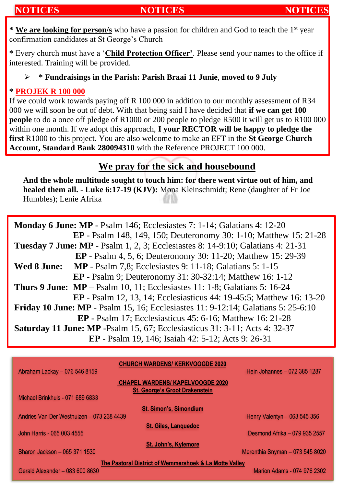## **NOTICES NOTICES NOTICES**

**\* We are looking for person/s** who have a passion for children and God to teach the 1st year confirmation candidates at St George's Church

**\*** Every church must have a '**Child Protection Officer'**. Please send your names to the office if interested. Training will be provided.

#### ➢ **\* Fundraisings in the Parish: Parish Braai 11 Junie**, **moved to 9 July**

#### **\* PROJEK R 100 000**

If we could work towards paying off R 100 000 in addition to our monthly assessment of R34 000 we will soon be out of debt. With that being said I have decided that **if we can get 100 people** to do a once off pledge of R1000 or 200 people to pledge R500 it will get us to R100 000 within one month. If we adopt this approach, **I your RECTOR will be happy to pledge the first** R1000 to this project. You are also welcome to make an EFT in the **St George Church Account, Standard Bank 280094310** with the Reference PROJECT 100 000.

# **We pray for the sick and housebound**

**And the whole multitude sought to touch him: for there went virtue out of him, and healed them all. - Luke 6:17-19 (KJV):** Mona Kleinschmidt; Rene (daughter of Fr Joe Humbles); Lenie Afrika

| Monday 6 June: MP - Psalm 146; Ecclesiastes 7: 1-14; Galatians 4: 12-20                  |  |  |  |  |
|------------------------------------------------------------------------------------------|--|--|--|--|
| <b>EP</b> - Psalm 148, 149, 150; Deuteronomy 30: 1-10; Matthew 15: 21-28                 |  |  |  |  |
| Tuesday 7 June: MP - Psalm 1, 2, 3; Ecclesiastes 8: 14-9:10; Galatians 4: 21-31          |  |  |  |  |
| <b>EP</b> - Psalm 4, 5, 6; Deuteronomy 30: 11-20; Matthew 15: 29-39                      |  |  |  |  |
| <b>MP</b> - Psalm 7,8; Ecclesiastes 9: 11-18; Galatians 5: 1-15<br>Wed 8 June:           |  |  |  |  |
| <b>EP</b> - Psalm 9; Deuteronomy 31: 30-32:14; Matthew 16: 1-12                          |  |  |  |  |
| <b>Thurs 9 June:</b> $MP - Psalm 10, 11$ ; Ecclesiastes 11: 1-8; Galatians 5: 16-24      |  |  |  |  |
| <b>EP</b> - Psalm 12, 13, 14; Ecclesiasticus 44: 19-45:5; Matthew 16: 13-20              |  |  |  |  |
| <b>Friday 10 June: MP</b> - Psalm 15, 16; Ecclesiastes 11: 9-12:14; Galatians 5: 25-6:10 |  |  |  |  |
| <b>EP</b> - Psalm 17; Ecclesiasticus 45: 6-16; Matthew 16: 21-28                         |  |  |  |  |
| <b>Saturday 11 June: MP</b> -Psalm 15, 67; Ecclesiasticus 31: 3-11; Acts 4: 32-37        |  |  |  |  |
| EP - Psalm 19, 146; Isaiah 42: 5-12; Acts 9: 26-31                                       |  |  |  |  |

|                                                        | <b>CHURCH WARDENS/ KERKVOOGDE 2020</b>  |                                 |  |  |  |  |
|--------------------------------------------------------|-----------------------------------------|---------------------------------|--|--|--|--|
| Abraham Lackay - 076 546 8159                          |                                         | Hein Johannes - 072 385 1287    |  |  |  |  |
|                                                        | <b>CHAPEL WARDENS/ KAPELVOOGDE 2020</b> |                                 |  |  |  |  |
|                                                        | <b>St. George's Groot Drakenstein</b>   |                                 |  |  |  |  |
| Michael Brinkhuis - 071 689 6833                       |                                         |                                 |  |  |  |  |
|                                                        | <b>St. Simon's, Simondium</b>           |                                 |  |  |  |  |
| Andries Van Der Westhuizen - 073 238 4439              |                                         | Henry Valentyn - 063 545 356    |  |  |  |  |
|                                                        | <b>St. Giles, Languedoc</b>             |                                 |  |  |  |  |
| John Harris - 065 003 4555                             |                                         | Desmond Afrika - 079 935 2557   |  |  |  |  |
|                                                        | St. John's, Kylemore                    |                                 |  |  |  |  |
| Sharon Jackson - 065 371 1530                          |                                         | Merenthia Snyman - 073 545 8020 |  |  |  |  |
| The Pastoral District of Wemmershoek & La Motte Valley |                                         |                                 |  |  |  |  |
| Gerald Alexander – 083 600 8630                        |                                         | Marion Adams - 074 976 2302     |  |  |  |  |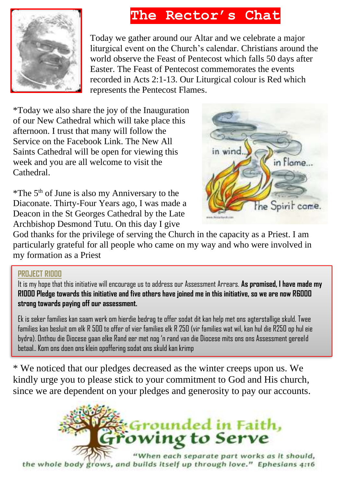# **The Rector's Chat**



Today we gather around our Altar and we celebrate a major liturgical event on the Church's calendar. Christians around the world observe the Feast of Pentecost which falls 50 days after Easter. The Feast of Pentecost commemorates the events recorded in Acts 2:1-13. Our Liturgical colour is Red which represents the Pentecost Flames.

\*Today we also share the joy of the Inauguration of our New Cathedral which will take place this afternoon. I trust that many will follow the Service on the Facebook Link. The New All Saints Cathedral will be open for viewing this week and you are all welcome to visit the Cathedral.

\*The 5th of June is also my Anniversary to the Diaconate. Thirty-Four Years ago, I was made a Deacon in the St Georges Cathedral by the Late Archbishop Desmond Tutu. On this day I give



God thanks for the privilege of serving the Church in the capacity as a Priest. I am particularly grateful for all people who came on my way and who were involved in my formation as a Priest

### **PROJECT R1000**

It is my hope that this initiative will encourage us to address our Assessment Arrears. **As promised, I have made my R1000 Pledge towards this initiative and five others have joined me in this initiative, so we are now R6000 strong towards paying off our assessment.** 

Ek is seker families kan saam werk om hierdie bedrag te offer sodat dit kan help met ons agterstallige skuld. Twee families kan besluit om elk R 500 te offer of vier families elk R 250 (vir families wat wil, kan hul die R250 op hul eie bydra). Onthou die Diocese gaan elke Rand eer met nog 'n rand van die Diocese mits ons ons Assessment gereeld betaal.. Kom ons doen ons klein opoffering sodat ons skuld kan krimp

\* We noticed that our pledges decreased as the winter creeps upon us. We kindly urge you to please stick to your commitment to God and His church, since we are dependent on your pledges and generosity to pay our accounts.



the whole body grows, and builds itself up through love." Ephesians 4:16